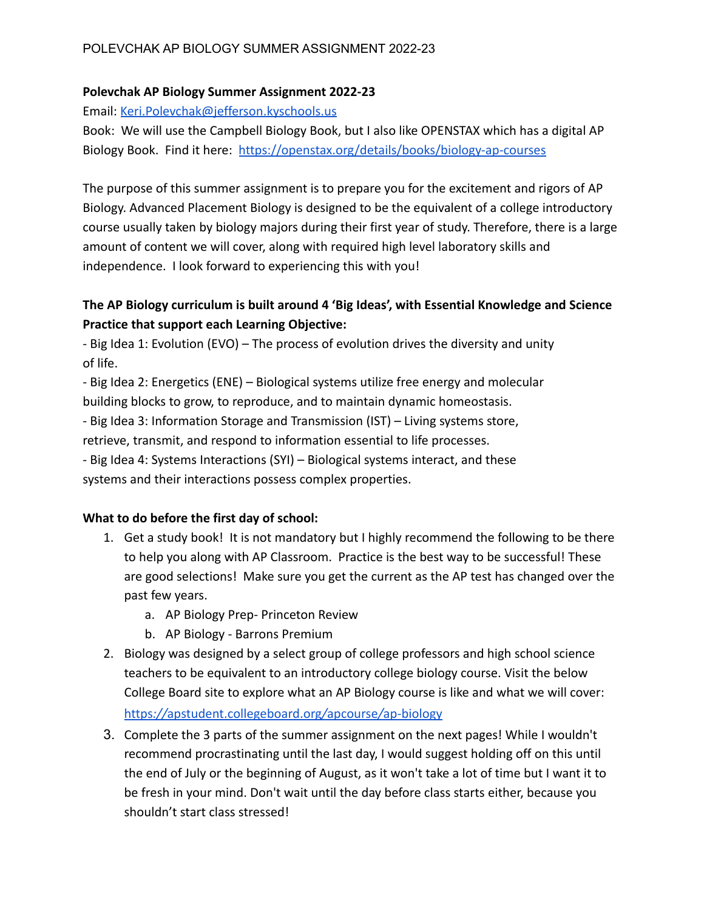### **Polevchak AP Biology Summer Assignment 2022-23**

Email: [Keri.Polevchak@jefferson.kyschools.us](mailto:Keri.Polevchak@jefferson.kyschools.us)

Book: We will use the Campbell Biology Book, but I also like OPENSTAX which has a digital AP Biology Book. Find it here: <https://openstax.org/details/books/biology-ap-courses>

The purpose of this summer assignment is to prepare you for the excitement and rigors of AP Biology. Advanced Placement Biology is designed to be the equivalent of a college introductory course usually taken by biology majors during their first year of study. Therefore, there is a large amount of content we will cover, along with required high level laboratory skills and independence. I look forward to experiencing this with you!

# **The AP Biology curriculum is built around 4 'Big Ideas', with Essential Knowledge and Science Practice that support each Learning Objective:**

- Big Idea 1: Evolution (EVO) – The process of evolution drives the diversity and unity of life.

- Big Idea 2: Energetics (ENE) – Biological systems utilize free energy and molecular building blocks to grow, to reproduce, and to maintain dynamic homeostasis.

- Big Idea 3: Information Storage and Transmission (IST) – Living systems store,

retrieve, transmit, and respond to information essential to life processes.

- Big Idea 4: Systems Interactions (SYI) – Biological systems interact, and these systems and their interactions possess complex properties.

## **What to do before the first day of school:**

- 1. Get a study book! It is not mandatory but I highly recommend the following to be there to help you along with AP Classroom. Practice is the best way to be successful! These are good selections! Make sure you get the current as the AP test has changed over the past few years.
	- a. AP Biology Prep- Princeton Review
	- b. AP Biology Barrons Premium
- 2. Biology was designed by a select group of college professors and high school science teachers to be equivalent to an introductory college biology course. Visit the below College Board site to explore what an AP Biology course is like and what we will cover: https*://*[apstudent.collegeboard.org](https://apstudent.collegeboard.org/apcourse/ap-biology)*/*apcourse*/*ap-biology
- 3. Complete the 3 parts of the summer assignment on the next pages! While I wouldn't recommend procrastinating until the last day, I would suggest holding off on this until the end of July or the beginning of August, as it won't take a lot of time but I want it to be fresh in your mind. Don't wait until the day before class starts either, because you shouldn't start class stressed!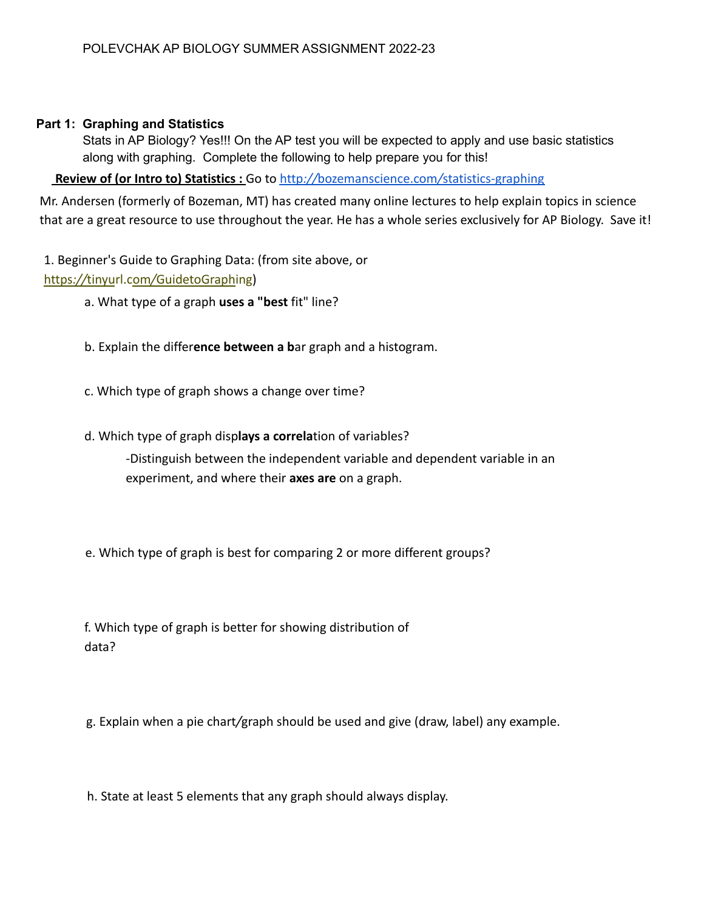### **Part 1: Graphing and Statistics**

Stats in AP Biology? Yes!!! On the AP test you will be expected to apply and use basic statistics along with graphing. Complete the following to help prepare you for this!

**Review of (or Intro to) Statistics :** Go to http*://*[bozemanscience.com](http://bozemanscience.com/statistics-graphing)*/*statistics-graphing

Mr. Andersen (formerly of Bozeman, MT) has created many online lectures to help explain topics in science that are a great resource to use throughout the year. He has a whole series exclusively for AP Biology. Save it!

1. Beginner's Guide to Graphing Data: (from site above, or https*://*tinyurl.com*/*GuidetoGraphing)

- a. What type of a graph **uses a "best** fit" line?
- b. Explain the differ**ence between a b**ar graph and a histogram.
- c. Which type of graph shows a change over time?
- d. Which type of graph disp**lays a correla**tion of variables?

-Distinguish between the independent variable and dependent variable in an experiment, and where their **axes are** on a graph.

e. Which type of graph is best for comparing 2 or more different groups?

f. Which type of graph is better for showing distribution of data?

g. Explain when a pie chart*/*graph should be used and give (draw, label) any example.

h. State at least 5 elements that any graph should always display.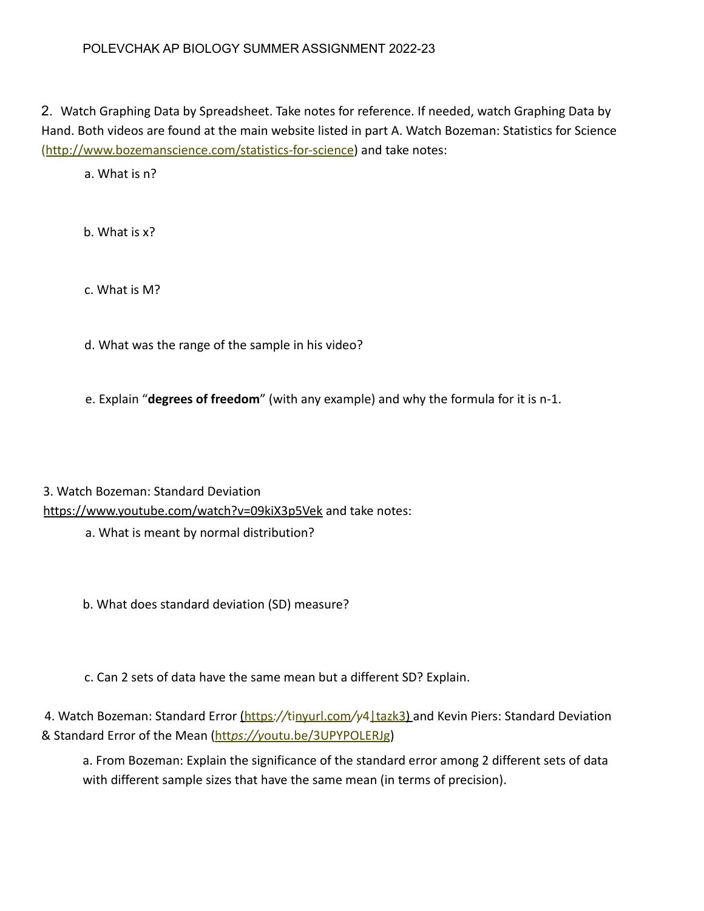2. Watch Graphing Data by Spreadsheet. Take notes for reference. If needed, watch Graphing Data by Hand. Both videos are found at the main website listed in part A. Watch Bozeman: Statistics for Science (http://www.bozemanscience.com/statistics-for-science) and take notes:

a. What is n?

b. What is x?

c. What is M?

d. What was the range of the sample in his video?

e. Explain "**degrees of freedom**" (with any example) and why the formula for it is n-1.

3. Watch Bozeman: Standard Deviation https://www.youtube.com/watch?v=09kiX3p5Vek and take notes:

a. What is meant by normal distribution?

b. What does standard deviation (SD) measure?

c. Can 2 sets of data have the same mean but a different SD? Explain.

4. Watch Bozeman: Standard Error (https://tinyurl.com/y4|tazk3) and Kevin Piers: Standard Deviation & Standard Error of the Mean (htt*ps://y*outu.be/3UPYPOLERJg)

a. From Bozeman: Explain the significance of the standard error among 2 different sets of data with different sample sizes that have the same mean (in terms of precision).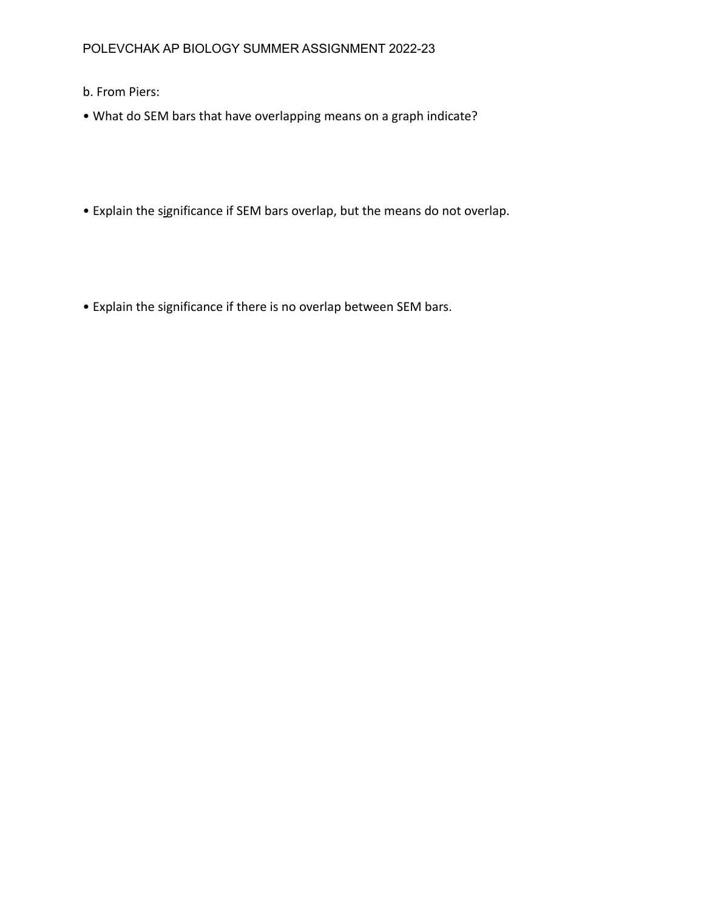- b. From Piers:
- What do SEM bars that have overlapping means on a graph indicate?
- Explain the significance if SEM bars overlap, but the means do not overlap.
- Explain the significance if there is no overlap between SEM bars.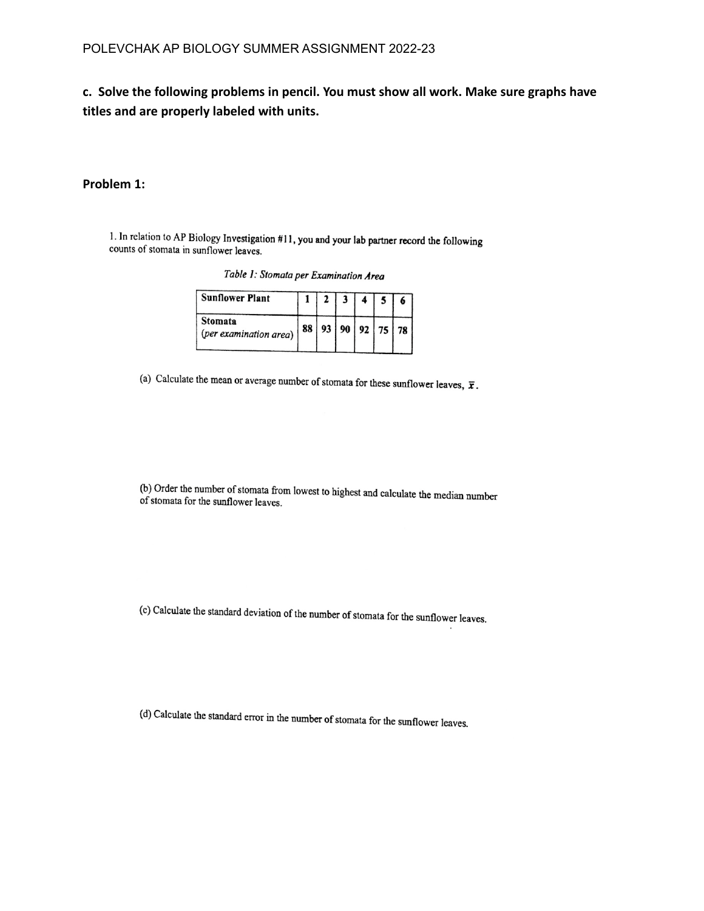**c. Solve the following problems in pencil. You must show all work. Make sure graphs have titles and are properly labeled with units.**

#### **Problem 1:**

1. In relation to AP Biology Investigation #11, you and your lab partner record the following counts of stomata in sunflower leaves.

| <b>Sunflower Plant</b>            |    |  |  |                  |
|-----------------------------------|----|--|--|------------------|
| Stomata<br>(per examination area) | 88 |  |  | $93$ 90 92 75 78 |

Table 1: Stomata per Examination Area

(a) Calculate the mean or average number of stomata for these sunflower leaves,  $\bar{x}$ .

(b) Order the number of stomata from lowest to highest and calculate the median number<br>of stomata for the sunflower leaves of stomata for the sunflower leaves.

(c) Calculate the standard deviation of the number of stomata for the sunflower leaves.

(d) Calculate the standard error in the number of stomata for the sunflower leaves.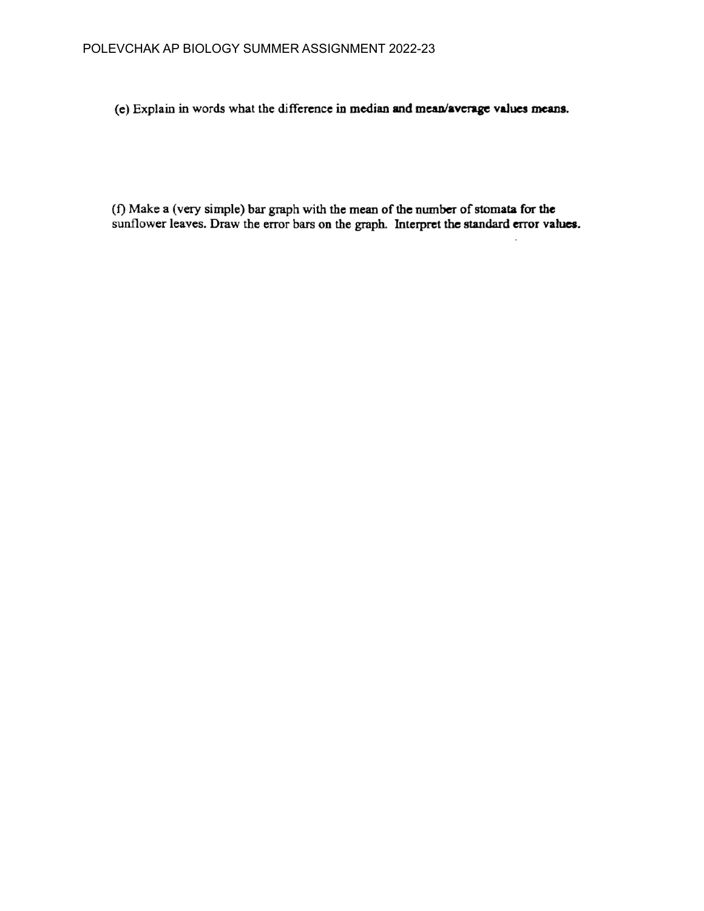(e) Explain in words what the difference in median and mean/average values means.

(f) Make a (very simple) bar graph with the mean of the number of stomata for the sunflower leaves. Draw the error bars on the graph. Interpret the standard error values.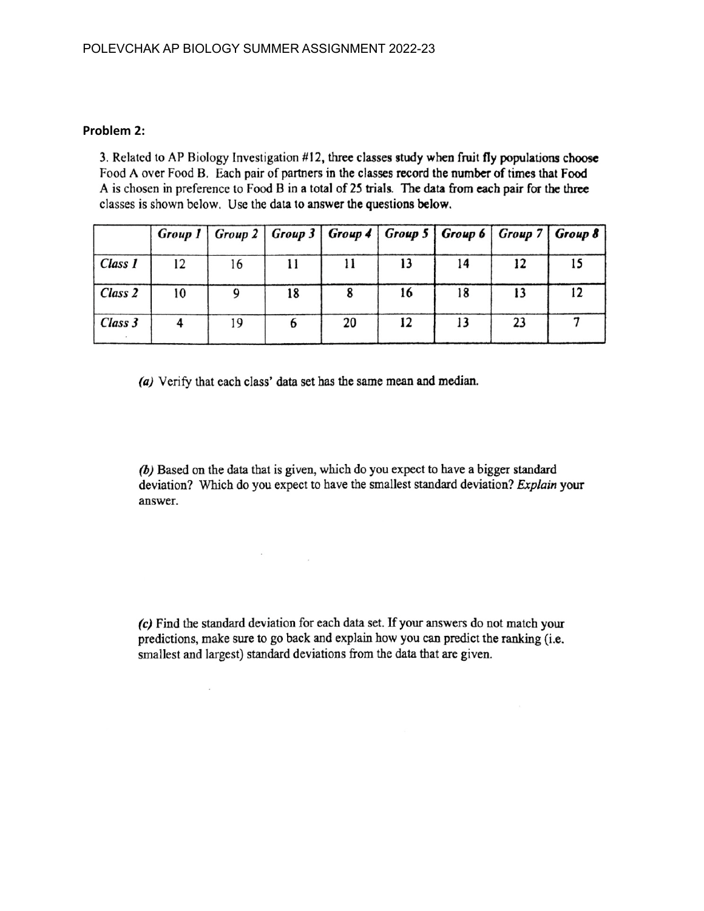#### **Problem 2:**

3. Related to AP Biology Investigation #12, three classes study when fruit fly populations choose Food A over Food B. Each pair of partners in the classes record the number of times that Food A is chosen in preference to Food B in a total of 25 trials. The data from each pair for the three classes is shown below. Use the data to answer the questions below.

|         |    | Group 1   Group 2   Group 3   Group 4   Group 5   Group 6   Group 7   Group 8 |    |    |    |    |    |    |
|---------|----|-------------------------------------------------------------------------------|----|----|----|----|----|----|
| Class 1 | 12 | 16                                                                            |    |    | 13 | 14 | 12 | 15 |
| Class 2 | 10 |                                                                               | 18 |    | 16 | 18 | 13 | 12 |
| Class 3 |    | 19                                                                            |    | 20 | 12 | 13 | 23 |    |

(a) Verify that each class' data set has the same mean and median.

the company

 $\mathbf{r}$ 

(b) Based on the data that is given, which do you expect to have a bigger standard deviation? Which do you expect to have the smallest standard deviation? Explain your answer.

(c) Find the standard deviation for each data set. If your answers do not match your predictions, make sure to go back and explain how you can predict the ranking (i.e. smallest and largest) standard deviations from the data that are given.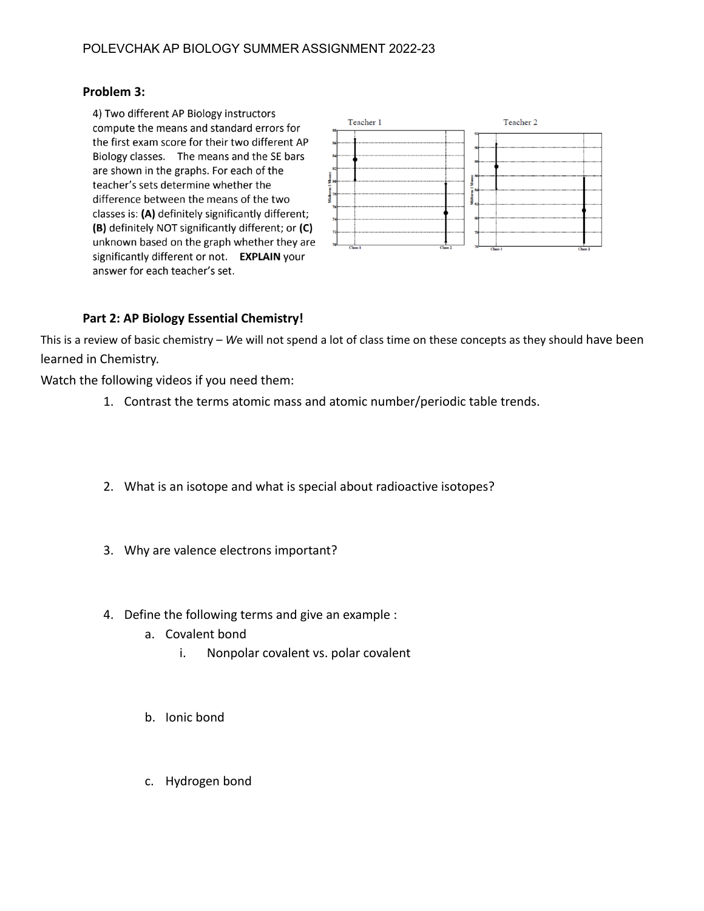#### **Problem 3:**

4) Two different AP Biology instructors compute the means and standard errors for the first exam score for their two different AP Biology classes. The means and the SE bars are shown in the graphs. For each of the teacher's sets determine whether the difference between the means of the two classes is: (A) definitely significantly different; (B) definitely NOT significantly different; or (C) unknown based on the graph whether they are significantly different or not. EXPLAIN your answer for each teacher's set.



#### **Part 2: AP Biology Essential Chemistry!**

This is a review of basic chemistry – *W*e will not spend a lot of class time on these concepts as they should have been learned in Chemistry.

Watch the following videos if you need them:

- 1. Contrast the terms atomic mass and atomic number/periodic table trends.
- 2. What is an isotope and what is special about radioactive isotopes?
- 3. Why are valence electrons important?
- 4. Define the following terms and give an example :
	- a. Covalent bond
		- i. Nonpolar covalent vs. polar covalent
	- b. Ionic bond
	- c. Hydrogen bond